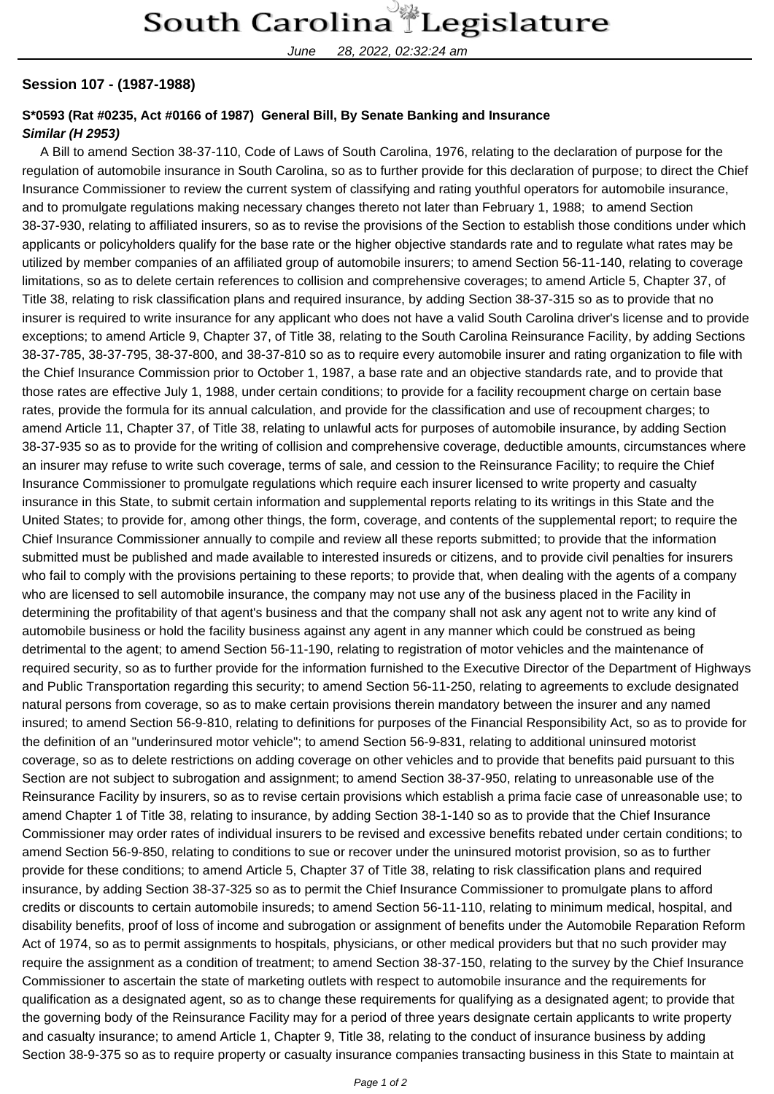June 28, 2022, 02:32:24 am

## **Session 107 - (1987-1988)**

## **S\*0593 (Rat #0235, Act #0166 of 1987) General Bill, By Senate Banking and Insurance**

## **Similar (H 2953)**

 A Bill to amend Section 38-37-110, Code of Laws of South Carolina, 1976, relating to the declaration of purpose for the regulation of automobile insurance in South Carolina, so as to further provide for this declaration of purpose; to direct the Chief Insurance Commissioner to review the current system of classifying and rating youthful operators for automobile insurance, and to promulgate regulations making necessary changes thereto not later than February 1, 1988; to amend Section 38-37-930, relating to affiliated insurers, so as to revise the provisions of the Section to establish those conditions under which applicants or policyholders qualify for the base rate or the higher objective standards rate and to regulate what rates may be utilized by member companies of an affiliated group of automobile insurers; to amend Section 56-11-140, relating to coverage limitations, so as to delete certain references to collision and comprehensive coverages; to amend Article 5, Chapter 37, of Title 38, relating to risk classification plans and required insurance, by adding Section 38-37-315 so as to provide that no insurer is required to write insurance for any applicant who does not have a valid South Carolina driver's license and to provide exceptions; to amend Article 9, Chapter 37, of Title 38, relating to the South Carolina Reinsurance Facility, by adding Sections 38-37-785, 38-37-795, 38-37-800, and 38-37-810 so as to require every automobile insurer and rating organization to file with the Chief Insurance Commission prior to October 1, 1987, a base rate and an objective standards rate, and to provide that those rates are effective July 1, 1988, under certain conditions; to provide for a facility recoupment charge on certain base rates, provide the formula for its annual calculation, and provide for the classification and use of recoupment charges; to amend Article 11, Chapter 37, of Title 38, relating to unlawful acts for purposes of automobile insurance, by adding Section 38-37-935 so as to provide for the writing of collision and comprehensive coverage, deductible amounts, circumstances where an insurer may refuse to write such coverage, terms of sale, and cession to the Reinsurance Facility; to require the Chief Insurance Commissioner to promulgate regulations which require each insurer licensed to write property and casualty insurance in this State, to submit certain information and supplemental reports relating to its writings in this State and the United States; to provide for, among other things, the form, coverage, and contents of the supplemental report; to require the Chief Insurance Commissioner annually to compile and review all these reports submitted; to provide that the information submitted must be published and made available to interested insureds or citizens, and to provide civil penalties for insurers who fail to comply with the provisions pertaining to these reports; to provide that, when dealing with the agents of a company who are licensed to sell automobile insurance, the company may not use any of the business placed in the Facility in determining the profitability of that agent's business and that the company shall not ask any agent not to write any kind of automobile business or hold the facility business against any agent in any manner which could be construed as being detrimental to the agent; to amend Section 56-11-190, relating to registration of motor vehicles and the maintenance of required security, so as to further provide for the information furnished to the Executive Director of the Department of Highways and Public Transportation regarding this security; to amend Section 56-11-250, relating to agreements to exclude designated natural persons from coverage, so as to make certain provisions therein mandatory between the insurer and any named insured; to amend Section 56-9-810, relating to definitions for purposes of the Financial Responsibility Act, so as to provide for the definition of an "underinsured motor vehicle"; to amend Section 56-9-831, relating to additional uninsured motorist coverage, so as to delete restrictions on adding coverage on other vehicles and to provide that benefits paid pursuant to this Section are not subject to subrogation and assignment; to amend Section 38-37-950, relating to unreasonable use of the Reinsurance Facility by insurers, so as to revise certain provisions which establish a prima facie case of unreasonable use; to amend Chapter 1 of Title 38, relating to insurance, by adding Section 38-1-140 so as to provide that the Chief Insurance Commissioner may order rates of individual insurers to be revised and excessive benefits rebated under certain conditions; to amend Section 56-9-850, relating to conditions to sue or recover under the uninsured motorist provision, so as to further provide for these conditions; to amend Article 5, Chapter 37 of Title 38, relating to risk classification plans and required insurance, by adding Section 38-37-325 so as to permit the Chief Insurance Commissioner to promulgate plans to afford credits or discounts to certain automobile insureds; to amend Section 56-11-110, relating to minimum medical, hospital, and disability benefits, proof of loss of income and subrogation or assignment of benefits under the Automobile Reparation Reform Act of 1974, so as to permit assignments to hospitals, physicians, or other medical providers but that no such provider may require the assignment as a condition of treatment; to amend Section 38-37-150, relating to the survey by the Chief Insurance Commissioner to ascertain the state of marketing outlets with respect to automobile insurance and the requirements for qualification as a designated agent, so as to change these requirements for qualifying as a designated agent; to provide that the governing body of the Reinsurance Facility may for a period of three years designate certain applicants to write property and casualty insurance; to amend Article 1, Chapter 9, Title 38, relating to the conduct of insurance business by adding Section 38-9-375 so as to require property or casualty insurance companies transacting business in this State to maintain at